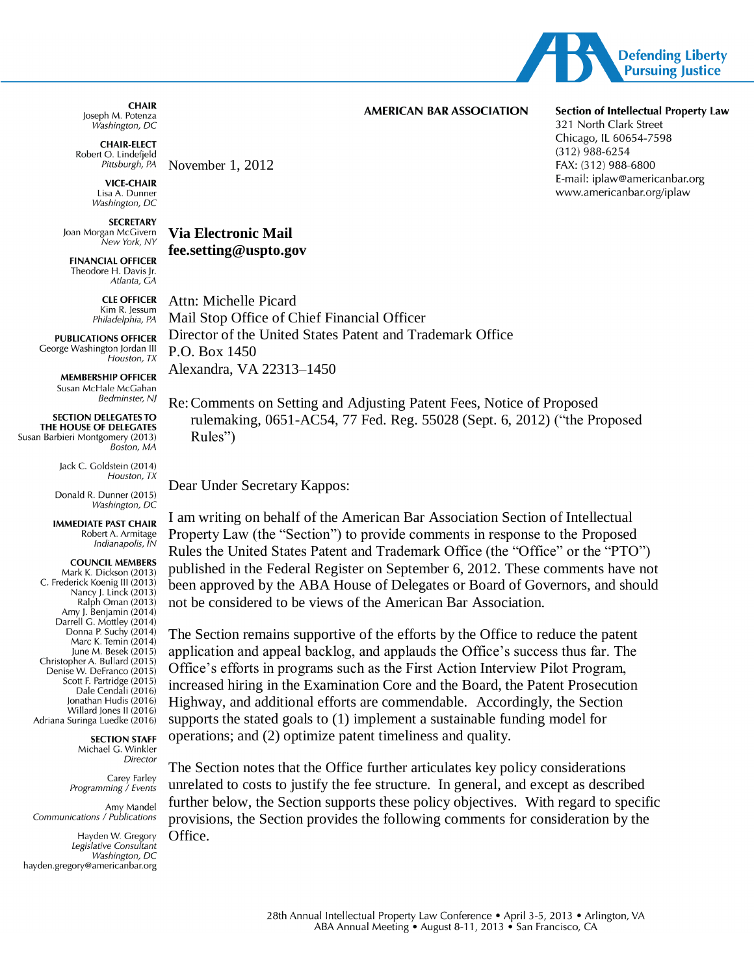

**CHAIR** Joseph M. Potenza Washington, DC

**CHAIR-ELECT** Robert O. Lindefjeld Pittsburgh, PA

> **VICE-CHAIR** Lisa A. Dunner Washington, DC

November  $1, 2012$ 

**Via Electronic Mail** 

fee.setting@uspto.gov

**SECRETARY** Joan Morgan McGivern .<br>New York, NY

**FINANCIAL OFFICER** Theodore H. Davis Ir. Atlanta, CA

> **CLE OFFICER** Kim R. Jessum Philadelphia, PA

**PUBLICATIONS OFFICER** George Washington Jordan III Houston, TX

> **MEMBERSHIP OFFICER** Susan McHale McGahan **Bedminster, NI**

**SECTION DELEGATES TO** THE HOUSE OF DELEGATES Susan Barbieri Montgomery (2013) Boston, MA

> lack C. Goldstein (2014) Houston, TX

Donald R. Dunner (2015) Washington, DC

**IMMEDIATE PAST CHAIR** Robert A. Armitage Indianapolis, IN

#### **COUNCIL MEMBERS** Mark K. Dickson (2013)

C. Frederick Koenig III (2013) Nancy J. Linck (2013)  $Ralph \nOman (2013)$ Amy J. Benjamin (2014) Darrell G. Mottley (2014) Donna P. Suchy (2014) Marc K. Temin (2014) June M. Besek (2015) Christopher A. Bullard (2015) Denise W. DeFranco (2015) Scott F. Partridge (2015) Dale Cendali (2016) Ionathan Hudis (2016) Willard Jones II (2016) Adriana Suringa Luedke (2016)

**SECTION STAFF** 

Michael G. Winkler **Director** 

Carey Farley Programming / Events

Amy Mandel Communications / Publications

Hayden W. Gregory Legislative Consultant Washington, DC hayden.gregory@americanbar.org

**AMERICAN BAR ASSOCIATION** 

#### **Section of Intellectual Property Law**

321 North Clark Street Chicago, IL 60654-7598  $(312)$  988-6254 FAX: (312) 988-6800 E-mail: iplaw@americanbar.org www.americanbar.org/iplaw

Attn: Michelle Picard Mail Stop Office of Chief Financial Officer Director of the United States Patent and Trademark Office P.O. Box 1450 Alexandra, VA 22313-1450

Re: Comments on Setting and Adjusting Patent Fees, Notice of Proposed rulemaking, 0651-AC54, 77 Fed. Reg. 55028 (Sept. 6, 2012) ("the Proposed Rules")

Dear Under Secretary Kappos:

I am writing on behalf of the American Bar Association Section of Intellectual Property Law (the "Section") to provide comments in response to the Proposed Rules the United States Patent and Trademark Office (the "Office" or the "PTO") published in the Federal Register on September 6, 2012. These comments have not been approved by the ABA House of Delegates or Board of Governors, and should not be considered to be views of the American Bar Association.

The Section remains supportive of the efforts by the Office to reduce the patent application and appeal backlog, and applauds the Office's success thus far. The Office's efforts in programs such as the First Action Interview Pilot Program, increased hiring in the Examination Core and the Board, the Patent Prosecution Highway, and additional efforts are commendable. Accordingly, the Section supports the stated goals to (1) implement a sustainable funding model for operations; and (2) optimize patent timeliness and quality.

The Section notes that the Office further articulates key policy considerations unrelated to costs to justify the fee structure. In general, and except as described further below, the Section supports these policy objectives. With regard to specific provisions, the Section provides the following comments for consideration by the Office.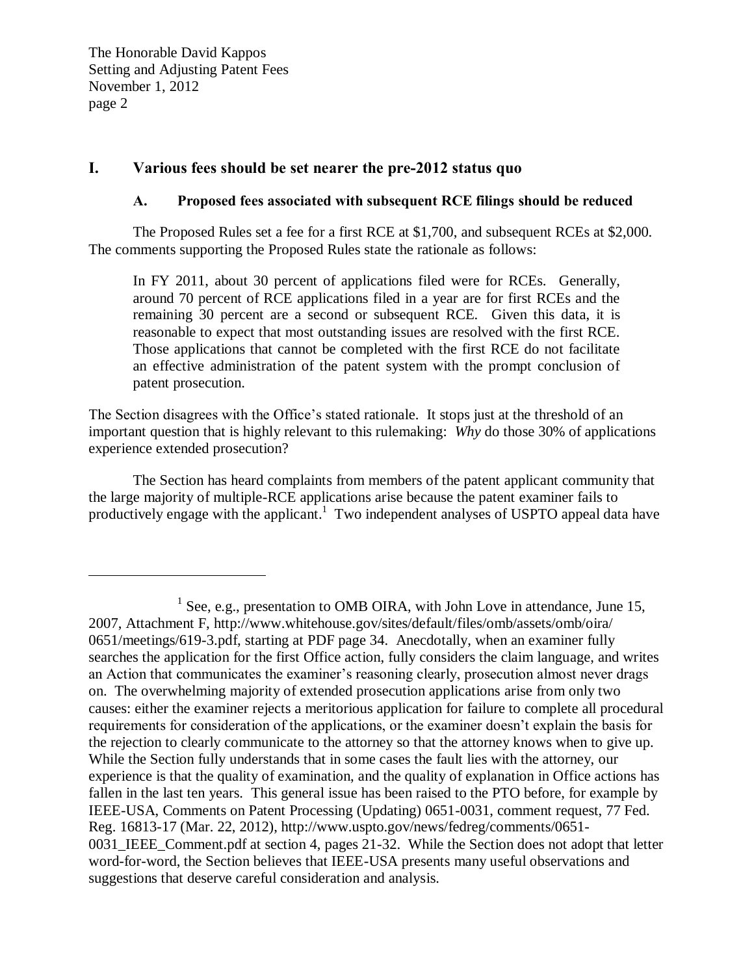$\overline{a}$ 

# **I. Various fees should be set nearer the pre-2012 status quo**

# **A. Proposed fees associated with subsequent RCE filings should be reduced**

The Proposed Rules set a fee for a first RCE at \$1,700, and subsequent RCEs at \$2,000. The comments supporting the Proposed Rules state the rationale as follows:

In FY 2011, about 30 percent of applications filed were for RCEs. Generally, around 70 percent of RCE applications filed in a year are for first RCEs and the remaining 30 percent are a second or subsequent RCE. Given this data, it is reasonable to expect that most outstanding issues are resolved with the first RCE. Those applications that cannot be completed with the first RCE do not facilitate an effective administration of the patent system with the prompt conclusion of patent prosecution.

The Section disagrees with the Office's stated rationale. It stops just at the threshold of an important question that is highly relevant to this rulemaking: *Why* do those 30% of applications experience extended prosecution?

The Section has heard complaints from members of the patent applicant community that the large majority of multiple-RCE applications arise because the patent examiner fails to productively engage with the applicant.<sup>1</sup> Two independent analyses of USPTO appeal data have

 $<sup>1</sup>$  See, e.g., presentation to OMB OIRA, with John Love in attendance, June 15,</sup> 2007, Attachment F, http://www.whitehouse.gov/sites/default/files/omb/assets/omb/oira/ 0651/meetings/619-3.pdf, starting at PDF page 34. Anecdotally, when an examiner fully searches the application for the first Office action, fully considers the claim language, and writes an Action that communicates the examiner's reasoning clearly, prosecution almost never drags on. The overwhelming majority of extended prosecution applications arise from only two causes: either the examiner rejects a meritorious application for failure to complete all procedural requirements for consideration of the applications, or the examiner doesn't explain the basis for the rejection to clearly communicate to the attorney so that the attorney knows when to give up. While the Section fully understands that in some cases the fault lies with the attorney, our experience is that the quality of examination, and the quality of explanation in Office actions has fallen in the last ten years. This general issue has been raised to the PTO before, for example by IEEE-USA, Comments on Patent Processing (Updating) 0651-0031, comment request, 77 Fed. Reg. 16813-17 (Mar. 22, 2012), http://www.uspto.gov/news/fedreg/comments/0651- 0031\_IEEE\_Comment.pdf at section 4, pages 21-32. While the Section does not adopt that letter word-for-word, the Section believes that IEEE-USA presents many useful observations and suggestions that deserve careful consideration and analysis.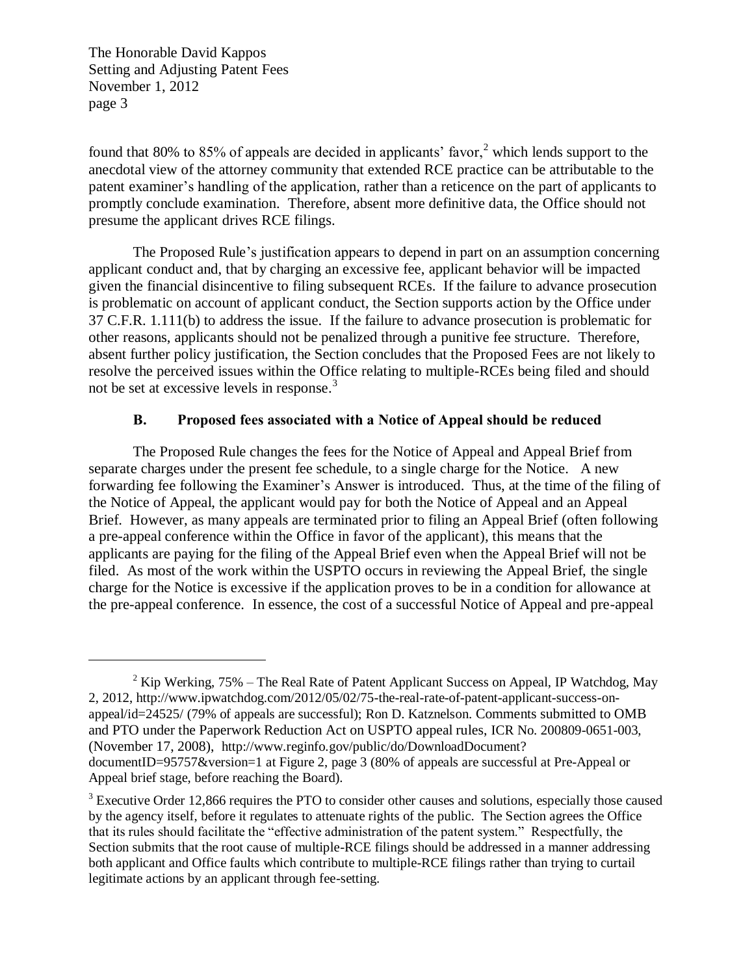$\overline{a}$ 

found that 80% to 85% of appeals are decided in applicants' favor,  $2$  which lends support to the anecdotal view of the attorney community that extended RCE practice can be attributable to the patent examiner's handling of the application, rather than a reticence on the part of applicants to promptly conclude examination. Therefore, absent more definitive data, the Office should not presume the applicant drives RCE filings.

The Proposed Rule's justification appears to depend in part on an assumption concerning applicant conduct and, that by charging an excessive fee, applicant behavior will be impacted given the financial disincentive to filing subsequent RCEs. If the failure to advance prosecution is problematic on account of applicant conduct, the Section supports action by the Office under 37 C.F.R. 1.111(b) to address the issue. If the failure to advance prosecution is problematic for other reasons, applicants should not be penalized through a punitive fee structure. Therefore, absent further policy justification, the Section concludes that the Proposed Fees are not likely to resolve the perceived issues within the Office relating to multiple-RCEs being filed and should not be set at excessive levels in response.<sup>3</sup>

# **B. Proposed fees associated with a Notice of Appeal should be reduced**

The Proposed Rule changes the fees for the Notice of Appeal and Appeal Brief from separate charges under the present fee schedule, to a single charge for the Notice. A new forwarding fee following the Examiner's Answer is introduced. Thus, at the time of the filing of the Notice of Appeal, the applicant would pay for both the Notice of Appeal and an Appeal Brief. However, as many appeals are terminated prior to filing an Appeal Brief (often following a pre-appeal conference within the Office in favor of the applicant), this means that the applicants are paying for the filing of the Appeal Brief even when the Appeal Brief will not be filed. As most of the work within the USPTO occurs in reviewing the Appeal Brief, the single charge for the Notice is excessive if the application proves to be in a condition for allowance at the pre-appeal conference. In essence, the cost of a successful Notice of Appeal and pre-appeal

<sup>&</sup>lt;sup>2</sup> Kip Werking, 75% – The Real Rate of Patent Applicant Success on Appeal, IP Watchdog, May 2, 2012, http://www.ipwatchdog.com/2012/05/02/75-the-real-rate-of-patent-applicant-success-onappeal/id=24525/ (79% of appeals are successful); Ron D. Katznelson. Comments submitted to OMB and PTO under the Paperwork Reduction Act on USPTO appeal rules, ICR No. 200809-0651-003, (November 17, 2008), http://www.reginfo.gov/public/do/DownloadDocument? documentID=95757&version=1 at Figure 2, page 3 (80% of appeals are successful at Pre-Appeal or Appeal brief stage, before reaching the Board).

<sup>&</sup>lt;sup>3</sup> Executive Order 12,866 requires the PTO to consider other causes and solutions, especially those caused by the agency itself, before it regulates to attenuate rights of the public. The Section agrees the Office that its rules should facilitate the "effective administration of the patent system." Respectfully, the Section submits that the root cause of multiple-RCE filings should be addressed in a manner addressing both applicant and Office faults which contribute to multiple-RCE filings rather than trying to curtail legitimate actions by an applicant through fee-setting.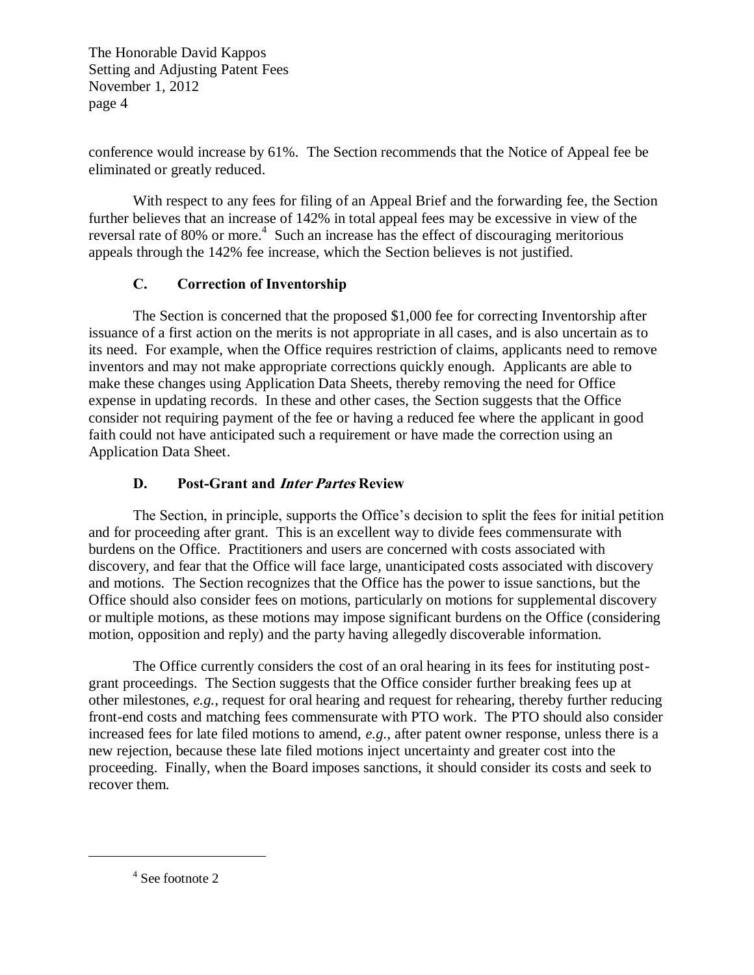conference would increase by 61%. The Section recommends that the Notice of Appeal fee be eliminated or greatly reduced.

With respect to any fees for filing of an Appeal Brief and the forwarding fee, the Section further believes that an increase of 142% in total appeal fees may be excessive in view of the reversal rate of 80% or more.<sup>4</sup> Such an increase has the effect of discouraging meritorious appeals through the 142% fee increase, which the Section believes is not justified.

# **C. Correction of Inventorship**

The Section is concerned that the proposed \$1,000 fee for correcting Inventorship after issuance of a first action on the merits is not appropriate in all cases, and is also uncertain as to its need. For example, when the Office requires restriction of claims, applicants need to remove inventors and may not make appropriate corrections quickly enough. Applicants are able to make these changes using Application Data Sheets, thereby removing the need for Office expense in updating records. In these and other cases, the Section suggests that the Office consider not requiring payment of the fee or having a reduced fee where the applicant in good faith could not have anticipated such a requirement or have made the correction using an Application Data Sheet.

# **D. Post-Grant and Inter Partes Review**

The Section, in principle, supports the Office's decision to split the fees for initial petition and for proceeding after grant. This is an excellent way to divide fees commensurate with burdens on the Office. Practitioners and users are concerned with costs associated with discovery, and fear that the Office will face large, unanticipated costs associated with discovery and motions. The Section recognizes that the Office has the power to issue sanctions, but the Office should also consider fees on motions, particularly on motions for supplemental discovery or multiple motions, as these motions may impose significant burdens on the Office (considering motion, opposition and reply) and the party having allegedly discoverable information.

The Office currently considers the cost of an oral hearing in its fees for instituting postgrant proceedings. The Section suggests that the Office consider further breaking fees up at other milestones, *e.g.*, request for oral hearing and request for rehearing, thereby further reducing front-end costs and matching fees commensurate with PTO work. The PTO should also consider increased fees for late filed motions to amend, *e.g.*, after patent owner response, unless there is a new rejection, because these late filed motions inject uncertainty and greater cost into the proceeding. Finally, when the Board imposes sanctions, it should consider its costs and seek to recover them.

4 See footnote 2

 $\overline{a}$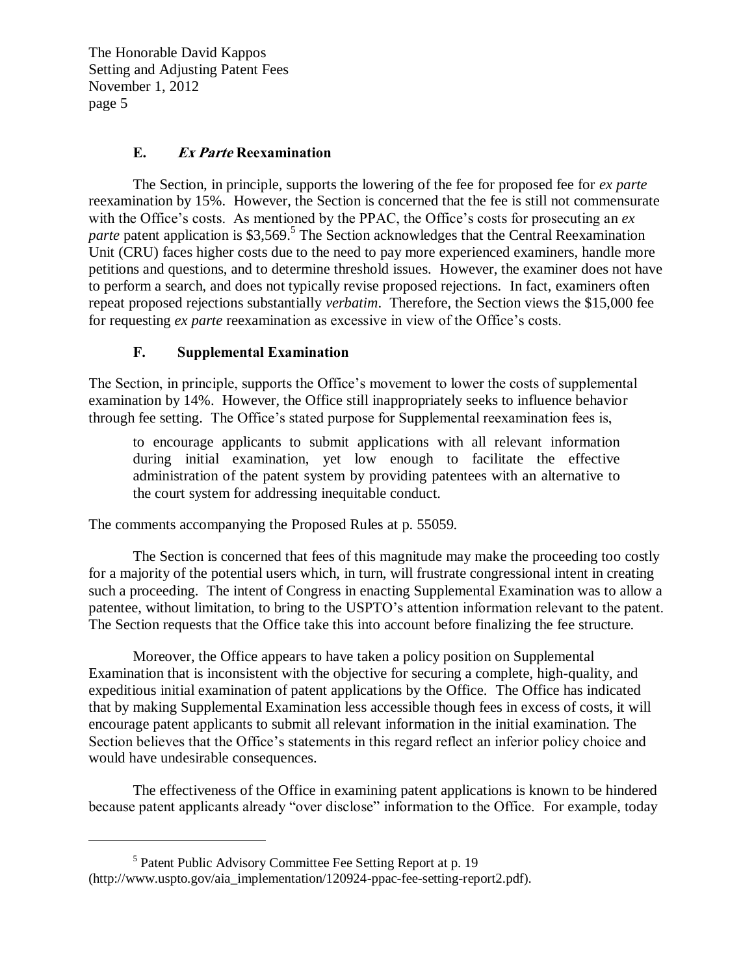# **E. Ex Parte Reexamination**

The Section, in principle, supports the lowering of the fee for proposed fee for *ex parte*  reexamination by 15%. However, the Section is concerned that the fee is still not commensurate with the Office's costs. As mentioned by the PPAC, the Office's costs for prosecuting an *ex*  parte patent application is \$3,569.<sup>5</sup> The Section acknowledges that the Central Reexamination Unit (CRU) faces higher costs due to the need to pay more experienced examiners, handle more petitions and questions, and to determine threshold issues. However, the examiner does not have to perform a search, and does not typically revise proposed rejections. In fact, examiners often repeat proposed rejections substantially *verbatim*. Therefore, the Section views the \$15,000 fee for requesting *ex parte* reexamination as excessive in view of the Office's costs.

# **F. Supplemental Examination**

The Section, in principle, supports the Office's movement to lower the costs of supplemental examination by 14%. However, the Office still inappropriately seeks to influence behavior through fee setting. The Office's stated purpose for Supplemental reexamination fees is,

to encourage applicants to submit applications with all relevant information during initial examination, yet low enough to facilitate the effective administration of the patent system by providing patentees with an alternative to the court system for addressing inequitable conduct.

The comments accompanying the Proposed Rules at p. 55059.

The Section is concerned that fees of this magnitude may make the proceeding too costly for a majority of the potential users which, in turn, will frustrate congressional intent in creating such a proceeding. The intent of Congress in enacting Supplemental Examination was to allow a patentee, without limitation, to bring to the USPTO's attention information relevant to the patent. The Section requests that the Office take this into account before finalizing the fee structure.

Moreover, the Office appears to have taken a policy position on Supplemental Examination that is inconsistent with the objective for securing a complete, high-quality, and expeditious initial examination of patent applications by the Office. The Office has indicated that by making Supplemental Examination less accessible though fees in excess of costs, it will encourage patent applicants to submit all relevant information in the initial examination. The Section believes that the Office's statements in this regard reflect an inferior policy choice and would have undesirable consequences.

The effectiveness of the Office in examining patent applications is known to be hindered because patent applicants already "over disclose" information to the Office. For example, today

 $\overline{a}$ 

<sup>&</sup>lt;sup>5</sup> Patent Public Advisory Committee Fee Setting Report at p. 19 (http://www.uspto.gov/aia\_implementation/120924-ppac-fee-setting-report2.pdf).